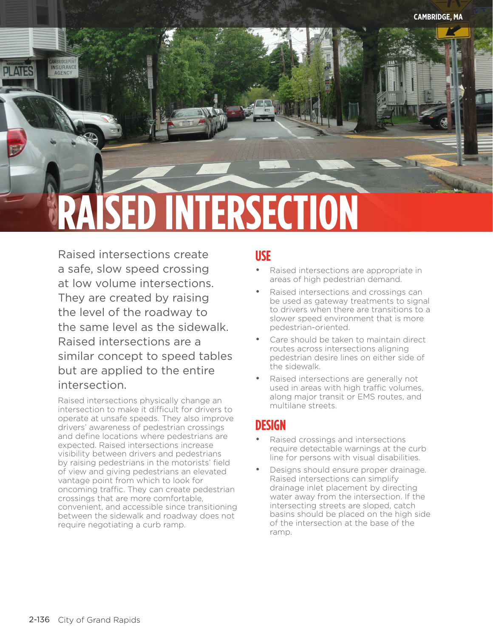

Raised intersections create a safe, slow speed crossing at low volume intersections. They are created by raising the level of the roadway to the same level as the sidewalk. Raised intersections are a similar concept to speed tables but are applied to the entire intersection.

Raised intersections physically change an intersection to make it difficult for drivers to operate at unsafe speeds. They also improve drivers' awareness of pedestrian crossings and define locations where pedestrians are expected. Raised intersections increase visibility between drivers and pedestrians by raising pedestrians in the motorists' field of view and giving pedestrians an elevated vantage point from which to look for oncoming traffic. They can create pedestrian crossings that are more comfortable, convenient, and accessible since transitioning between the sidewalk and roadway does not require negotiating a curb ramp.

## **USE**

- Raised intersections are appropriate in areas of high pedestrian demand.
- Raised intersections and crossings can be used as gateway treatments to signal to drivers when there are transitions to a slower speed environment that is more pedestrian-oriented.
- Care should be taken to maintain direct routes across intersections aligning pedestrian desire lines on either side of the sidewalk.
- Raised intersections are generally not used in areas with high traffic volumes, along major transit or EMS routes, and multilane streets.

## **DESIGN**

- Raised crossings and intersections require detectable warnings at the curb line for persons with visual disabilities.
- Designs should ensure proper drainage. Raised intersections can simplify drainage inlet placement by directing water away from the intersection. If the intersecting streets are sloped, catch basins should be placed on the high side of the intersection at the base of the ramp.